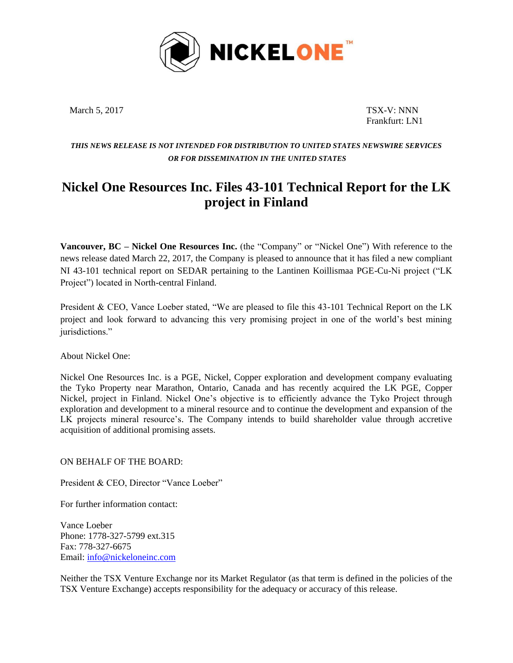

March 5, 2017 TSX-V: NNN

Frankfurt: LN1

## *THIS NEWS RELEASE IS NOT INTENDED FOR DISTRIBUTION TO UNITED STATES NEWSWIRE SERVICES OR FOR DISSEMINATION IN THE UNITED STATES*

## **Nickel One Resources Inc. Files 43-101 Technical Report for the LK project in Finland**

**Vancouver, BC – Nickel One Resources Inc.** (the "Company" or "Nickel One") With reference to the news release dated March 22, 2017, the Company is pleased to announce that it has filed a new compliant NI 43-101 technical report on SEDAR pertaining to the Lantinen Koillismaa PGE-Cu-Ni project ("LK Project") located in North-central Finland.

President & CEO, Vance Loeber stated, "We are pleased to file this 43-101 Technical Report on the LK project and look forward to advancing this very promising project in one of the world's best mining jurisdictions."

About Nickel One:

Nickel One Resources Inc. is a PGE, Nickel, Copper exploration and development company evaluating the Tyko Property near Marathon, Ontario, Canada and has recently acquired the LK PGE, Copper Nickel, project in Finland. Nickel One's objective is to efficiently advance the Tyko Project through exploration and development to a mineral resource and to continue the development and expansion of the LK projects mineral resource's. The Company intends to build shareholder value through accretive acquisition of additional promising assets.

ON BEHALF OF THE BOARD:

President & CEO, Director "Vance Loeber"

For further information contact:

Vance Loeber Phone: 1778-327-5799 ext.315 Fax: 778-327-6675 Email: [info@nickeloneinc.com](mailto:info@nickeloneinc.com)

Neither the TSX Venture Exchange nor its Market Regulator (as that term is defined in the policies of the TSX Venture Exchange) accepts responsibility for the adequacy or accuracy of this release.